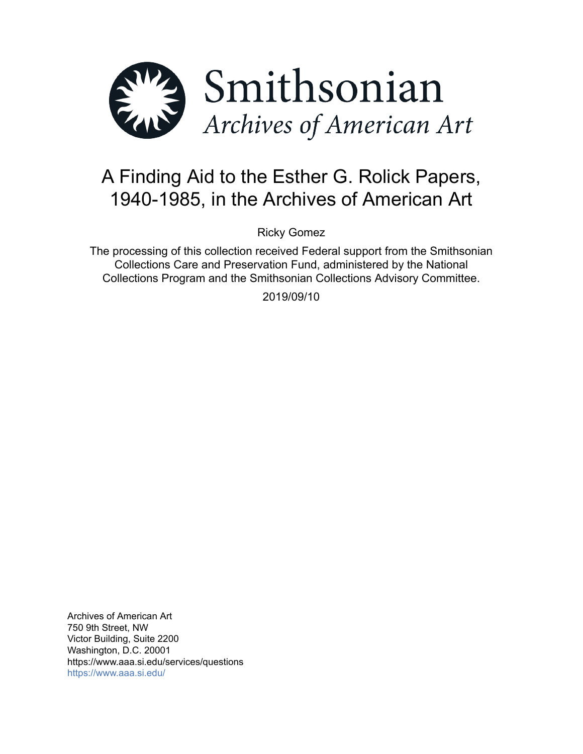

# A Finding Aid to the Esther G. Rolick Papers, 1940-1985, in the Archives of American Art

Ricky Gomez

The processing of this collection received Federal support from the Smithsonian Collections Care and Preservation Fund, administered by the National Collections Program and the Smithsonian Collections Advisory Committee.

2019/09/10

Archives of American Art 750 9th Street, NW Victor Building, Suite 2200 Washington, D.C. 20001 https://www.aaa.si.edu/services/questions <https://www.aaa.si.edu/>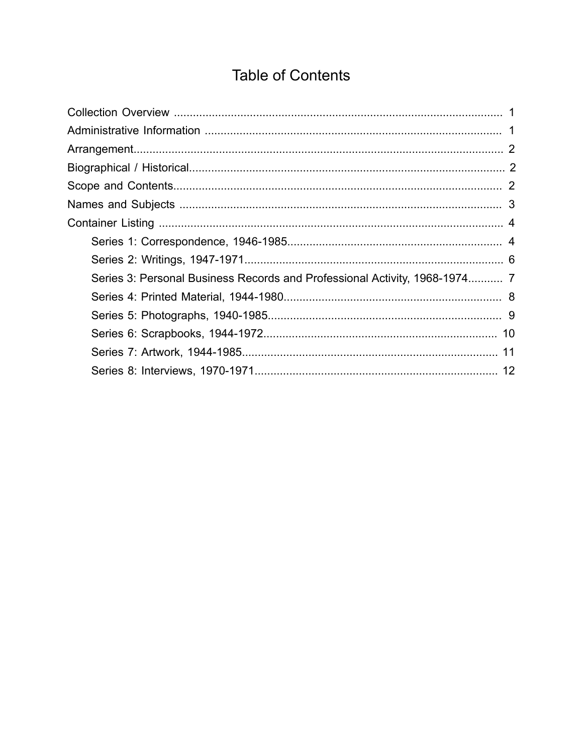# **Table of Contents**

<span id="page-1-0"></span>

| Series 3: Personal Business Records and Professional Activity, 1968-1974 7 |  |
|----------------------------------------------------------------------------|--|
|                                                                            |  |
|                                                                            |  |
|                                                                            |  |
|                                                                            |  |
|                                                                            |  |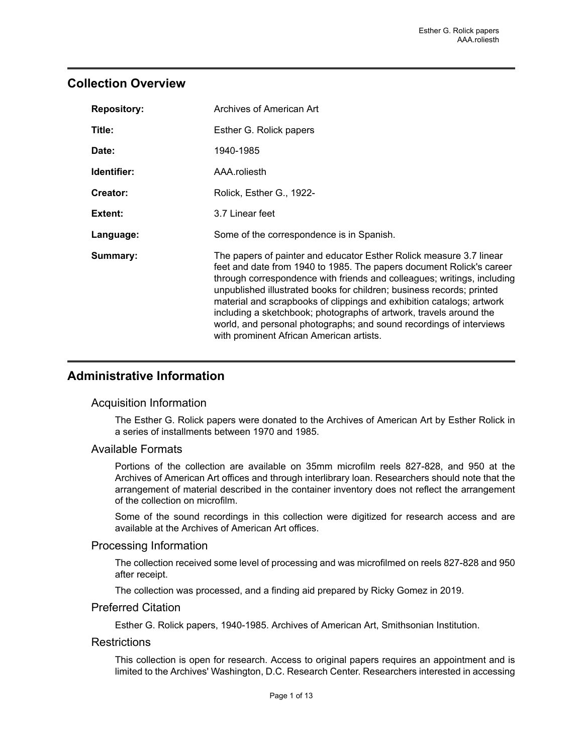### <span id="page-2-0"></span>**Collection Overview**

| <b>Repository:</b> | Archives of American Art                                                                                                                                                                                                                                                                                                                                                                                                                                                                                                                                          |  |  |
|--------------------|-------------------------------------------------------------------------------------------------------------------------------------------------------------------------------------------------------------------------------------------------------------------------------------------------------------------------------------------------------------------------------------------------------------------------------------------------------------------------------------------------------------------------------------------------------------------|--|--|
| Title:             | Esther G. Rolick papers                                                                                                                                                                                                                                                                                                                                                                                                                                                                                                                                           |  |  |
| Date:              | 1940-1985                                                                                                                                                                                                                                                                                                                                                                                                                                                                                                                                                         |  |  |
| Identifier:        | AAA.roliesth                                                                                                                                                                                                                                                                                                                                                                                                                                                                                                                                                      |  |  |
| Creator:           | Rolick, Esther G., 1922-                                                                                                                                                                                                                                                                                                                                                                                                                                                                                                                                          |  |  |
| Extent:            | 3.7 Linear feet                                                                                                                                                                                                                                                                                                                                                                                                                                                                                                                                                   |  |  |
| Language:          | Some of the correspondence is in Spanish.                                                                                                                                                                                                                                                                                                                                                                                                                                                                                                                         |  |  |
| Summary:           | The papers of painter and educator Esther Rolick measure 3.7 linear<br>feet and date from 1940 to 1985. The papers document Rolick's career<br>through correspondence with friends and colleagues; writings, including<br>unpublished illustrated books for children; business records; printed<br>material and scrapbooks of clippings and exhibition catalogs; artwork<br>including a sketchbook; photographs of artwork, travels around the<br>world, and personal photographs; and sound recordings of interviews<br>with prominent African American artists. |  |  |

## <span id="page-2-1"></span>**Administrative Information**

#### Acquisition Information

The Esther G. Rolick papers were donated to the Archives of American Art by Esther Rolick in a series of installments between 1970 and 1985.

#### Available Formats

Portions of the collection are available on 35mm microfilm reels 827-828, and 950 at the Archives of American Art offices and through interlibrary loan. Researchers should note that the arrangement of material described in the container inventory does not reflect the arrangement of the collection on microfilm.

Some of the sound recordings in this collection were digitized for research access and are available at the Archives of American Art offices.

#### Processing Information

The collection received some level of processing and was microfilmed on reels 827-828 and 950 after receipt.

The collection was processed, and a finding aid prepared by Ricky Gomez in 2019.

#### Preferred Citation

Esther G. Rolick papers, 1940-1985. Archives of American Art, Smithsonian Institution.

#### **Restrictions**

This collection is open for research. Access to original papers requires an appointment and is limited to the Archives' Washington, D.C. Research Center. Researchers interested in accessing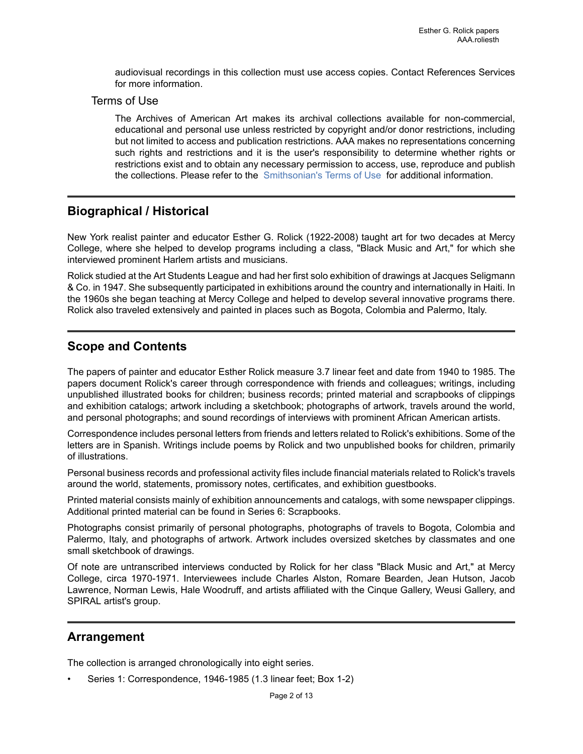audiovisual recordings in this collection must use access copies. Contact References Services for more information.

#### Terms of Use

The Archives of American Art makes its archival collections available for non-commercial, educational and personal use unless restricted by copyright and/or donor restrictions, including but not limited to access and publication restrictions. AAA makes no representations concerning such rights and restrictions and it is the user's responsibility to determine whether rights or restrictions exist and to obtain any necessary permission to access, use, reproduce and publish the collections. Please refer to the [Smithsonian's](https://www.si.edu/termsofuse) Terms of Use for additional information.

## <span id="page-3-1"></span>**Biographical / Historical**

New York realist painter and educator Esther G. Rolick (1922-2008) taught art for two decades at Mercy College, where she helped to develop programs including a class, "Black Music and Art," for which she interviewed prominent Harlem artists and musicians.

Rolick studied at the Art Students League and had her first solo exhibition of drawings at Jacques Seligmann & Co. in 1947. She subsequently participated in exhibitions around the country and internationally in Haiti. In the 1960s she began teaching at Mercy College and helped to develop several innovative programs there. Rolick also traveled extensively and painted in places such as Bogota, Colombia and Palermo, Italy.

# <span id="page-3-2"></span>**Scope and Contents**

The papers of painter and educator Esther Rolick measure 3.7 linear feet and date from 1940 to 1985. The papers document Rolick's career through correspondence with friends and colleagues; writings, including unpublished illustrated books for children; business records; printed material and scrapbooks of clippings and exhibition catalogs; artwork including a sketchbook; photographs of artwork, travels around the world, and personal photographs; and sound recordings of interviews with prominent African American artists.

Correspondence includes personal letters from friends and letters related to Rolick's exhibitions. Some of the letters are in Spanish. Writings include poems by Rolick and two unpublished books for children, primarily of illustrations.

Personal business records and professional activity files include financial materials related to Rolick's travels around the world, statements, promissory notes, certificates, and exhibition guestbooks.

Printed material consists mainly of exhibition announcements and catalogs, with some newspaper clippings. Additional printed material can be found in Series 6: Scrapbooks.

Photographs consist primarily of personal photographs, photographs of travels to Bogota, Colombia and Palermo, Italy, and photographs of artwork. Artwork includes oversized sketches by classmates and one small sketchbook of drawings.

Of note are untranscribed interviews conducted by Rolick for her class "Black Music and Art," at Mercy College, circa 1970-1971. Interviewees include Charles Alston, Romare Bearden, Jean Hutson, Jacob Lawrence, Norman Lewis, Hale Woodruff, and artists affiliated with the Cinque Gallery, Weusi Gallery, and SPIRAL artist's group.

## <span id="page-3-0"></span>**Arrangement**

The collection is arranged chronologically into eight series.

• Series 1: Correspondence, 1946-1985 (1.3 linear feet; Box 1-2)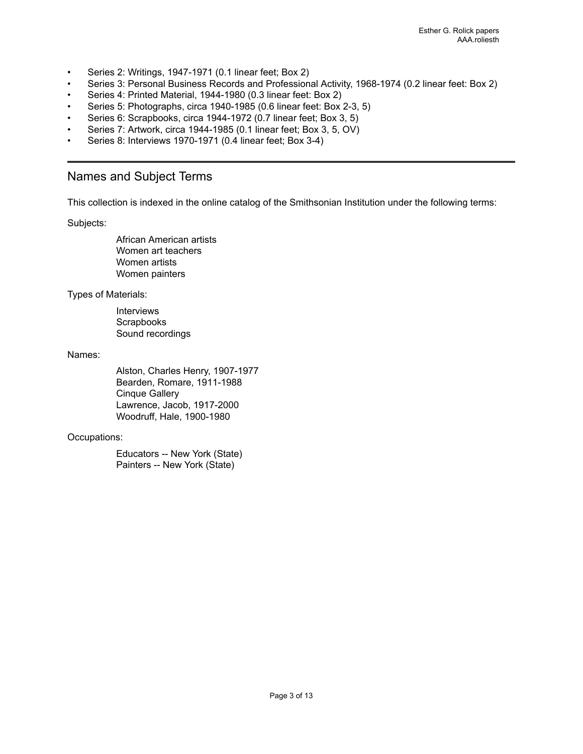- Series 2: Writings, 1947-1971 (0.1 linear feet; Box 2)
- Series 3: Personal Business Records and Professional Activity, 1968-1974 (0.2 linear feet: Box 2)
- Series 4: Printed Material, 1944-1980 (0.3 linear feet: Box 2)
- Series 5: Photographs, circa 1940-1985 (0.6 linear feet: Box 2-3, 5)
- Series 6: Scrapbooks, circa 1944-1972 (0.7 linear feet; Box 3, 5)
- Series 7: Artwork, circa 1944-1985 (0.1 linear feet; Box 3, 5, OV)
- Series 8: Interviews 1970-1971 (0.4 linear feet; Box 3-4)

### <span id="page-4-0"></span>Names and Subject Terms

This collection is indexed in the online catalog of the Smithsonian Institution under the following terms:

Subjects:

African American artists Women art teachers Women artists Women painters

Types of Materials:

Interviews **Scrapbooks** Sound recordings

Names:

Alston, Charles Henry, 1907-1977 Bearden, Romare, 1911-1988 Cinque Gallery Lawrence, Jacob, 1917-2000 Woodruff, Hale, 1900-1980

#### Occupations:

Educators -- New York (State) Painters -- New York (State)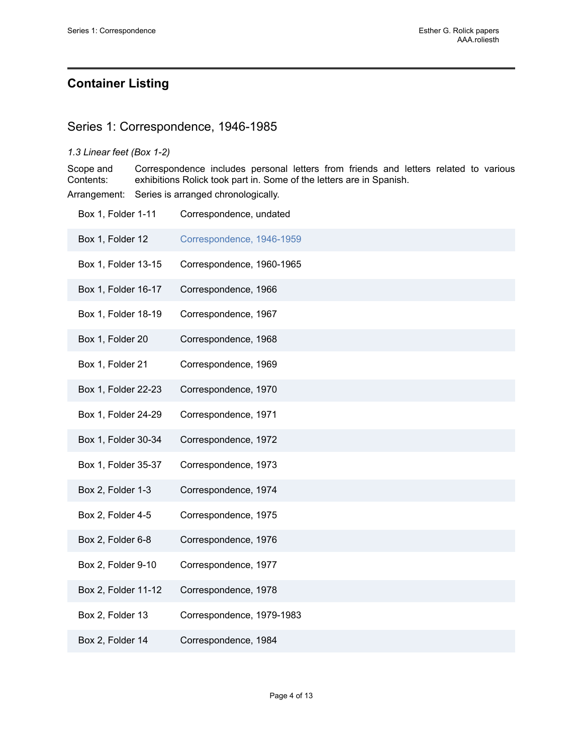# <span id="page-5-0"></span>**Container Listing**

### <span id="page-5-1"></span>Series 1: Correspondence, 1946-1985

#### *1.3 Linear feet (Box 1-2)*

Scope and Contents: Correspondence includes personal letters from friends and letters related to various exhibitions Rolick took part in. Some of the letters are in Spanish.

Arrangement: Series is arranged chronologically.

| Box 1, Folder 1-11  | Correspondence, undated   |
|---------------------|---------------------------|
| Box 1, Folder 12    | Correspondence, 1946-1959 |
| Box 1, Folder 13-15 | Correspondence, 1960-1965 |
| Box 1, Folder 16-17 | Correspondence, 1966      |
| Box 1, Folder 18-19 | Correspondence, 1967      |
| Box 1, Folder 20    | Correspondence, 1968      |
| Box 1, Folder 21    | Correspondence, 1969      |
| Box 1, Folder 22-23 | Correspondence, 1970      |
| Box 1, Folder 24-29 | Correspondence, 1971      |
| Box 1, Folder 30-34 | Correspondence, 1972      |
| Box 1, Folder 35-37 | Correspondence, 1973      |
| Box 2, Folder 1-3   | Correspondence, 1974      |
| Box 2, Folder 4-5   | Correspondence, 1975      |
| Box 2, Folder 6-8   | Correspondence, 1976      |
| Box 2, Folder 9-10  | Correspondence, 1977      |
| Box 2, Folder 11-12 | Correspondence, 1978      |
| Box 2, Folder 13    | Correspondence, 1979-1983 |
| Box 2, Folder 14    | Correspondence, 1984      |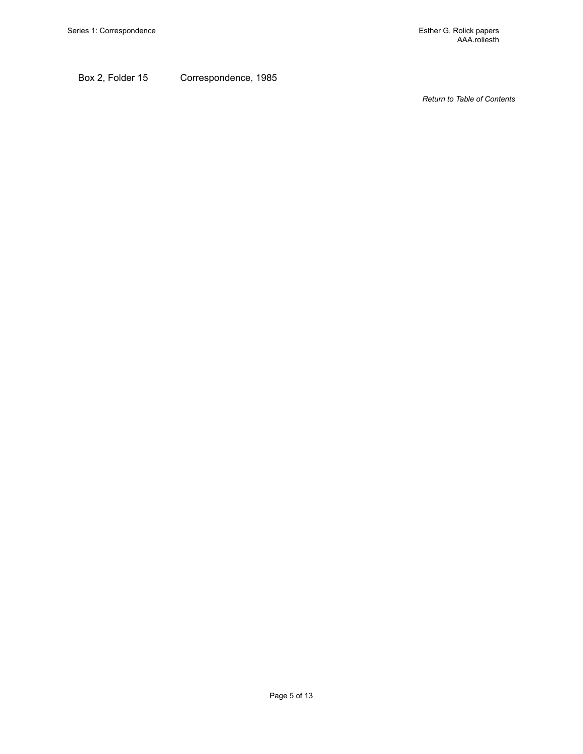Box 2, Folder 15 Correspondence, 1985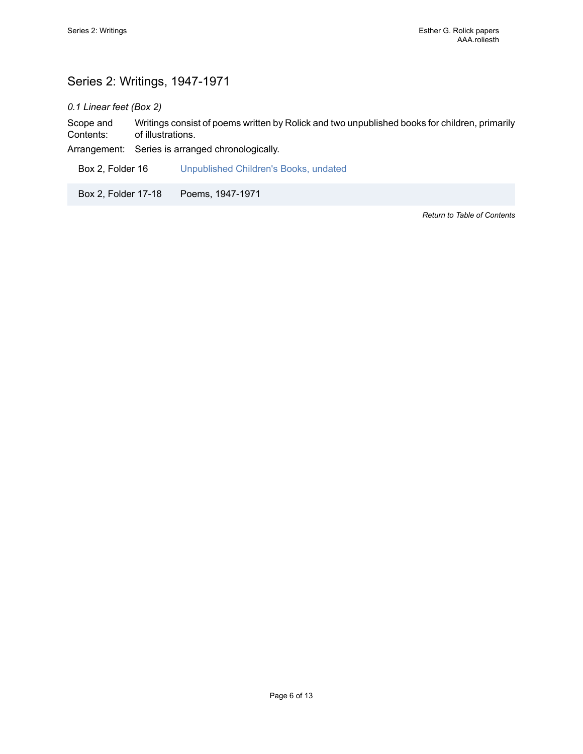# <span id="page-7-0"></span>Series 2: Writings, 1947-1971

*0.1 Linear feet (Box 2)*

Scope and Contents: Writings consist of poems written by Rolick and two unpublished books for children, primarily of illustrations.

Arrangement: Series is arranged chronologically.

Box 2, Folder 16 [Unpublished Children's Books, undated](https://edan.si.edu/slideshow/slideshowViewer.htm?eadrefid=AAA.roliesth_ref22)

Box 2, Folder 17-18 Poems, 1947-1971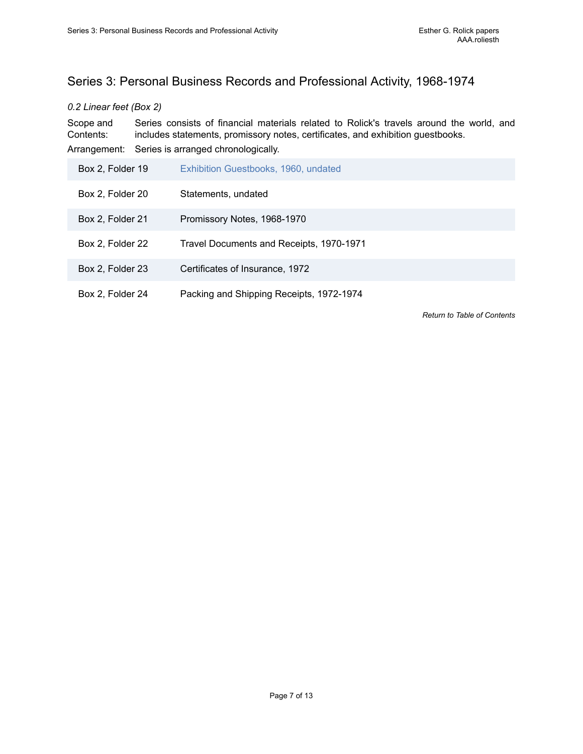# <span id="page-8-0"></span>Series 3: Personal Business Records and Professional Activity, 1968-1974

#### *0.2 Linear feet (Box 2)*

Scope and Contents: Series consists of financial materials related to Rolick's travels around the world, and includes statements, promissory notes, certificates, and exhibition guestbooks. Arrangement: Series is arranged chronologically.

| Box 2, Folder 19 | Exhibition Guestbooks, 1960, undated     |
|------------------|------------------------------------------|
| Box 2, Folder 20 | Statements, undated                      |
| Box 2, Folder 21 | Promissory Notes, 1968-1970              |
| Box 2, Folder 22 | Travel Documents and Receipts, 1970-1971 |
| Box 2, Folder 23 | Certificates of Insurance, 1972          |
| Box 2, Folder 24 | Packing and Shipping Receipts, 1972-1974 |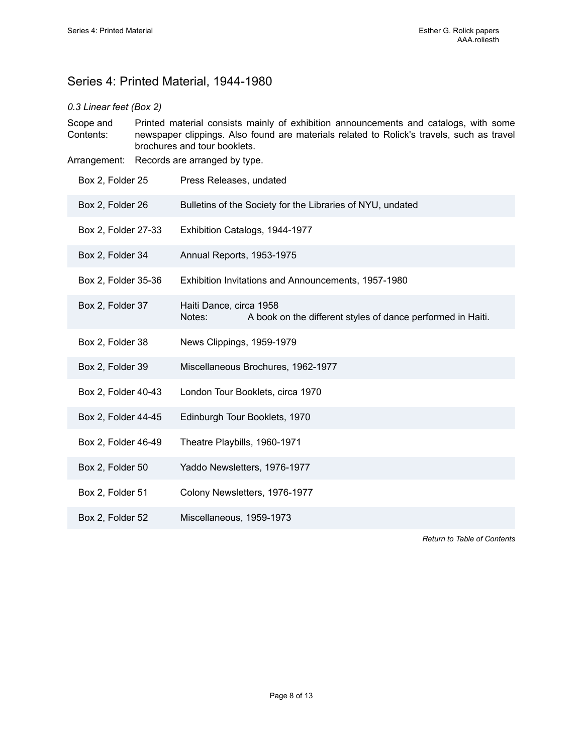# <span id="page-9-0"></span>Series 4: Printed Material, 1944-1980

#### *0.3 Linear feet (Box 2)*

Scope and Contents: Printed material consists mainly of exhibition announcements and catalogs, with some newspaper clippings. Also found are materials related to Rolick's travels, such as travel brochures and tour booklets.

Arrangement: Records are arranged by type.

| Box 2, Folder 25    | Press Releases, undated                                                                          |  |  |
|---------------------|--------------------------------------------------------------------------------------------------|--|--|
| Box 2, Folder 26    | Bulletins of the Society for the Libraries of NYU, undated                                       |  |  |
| Box 2, Folder 27-33 | Exhibition Catalogs, 1944-1977                                                                   |  |  |
| Box 2, Folder 34    | Annual Reports, 1953-1975                                                                        |  |  |
| Box 2, Folder 35-36 | Exhibition Invitations and Announcements, 1957-1980                                              |  |  |
| Box 2, Folder 37    | Haiti Dance, circa 1958<br>A book on the different styles of dance performed in Haiti.<br>Notes: |  |  |
| Box 2, Folder 38    | News Clippings, 1959-1979                                                                        |  |  |
| Box 2, Folder 39    | Miscellaneous Brochures, 1962-1977                                                               |  |  |
| Box 2, Folder 40-43 | London Tour Booklets, circa 1970                                                                 |  |  |
| Box 2, Folder 44-45 | Edinburgh Tour Booklets, 1970                                                                    |  |  |
| Box 2, Folder 46-49 | Theatre Playbills, 1960-1971                                                                     |  |  |
| Box 2, Folder 50    | Yaddo Newsletters, 1976-1977                                                                     |  |  |
| Box 2, Folder 51    | Colony Newsletters, 1976-1977                                                                    |  |  |
| Box 2, Folder 52    | Miscellaneous, 1959-1973                                                                         |  |  |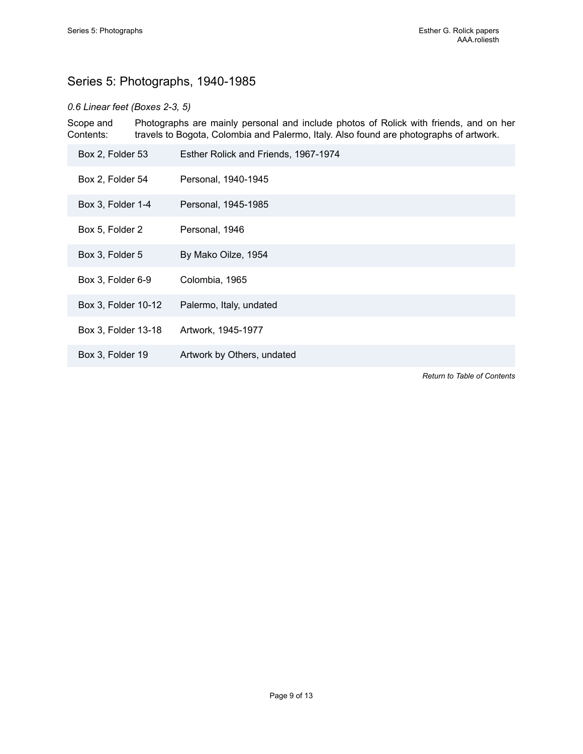# <span id="page-10-0"></span>Series 5: Photographs, 1940-1985

### *0.6 Linear feet (Boxes 2-3, 5)*

Scope and Contents: Photographs are mainly personal and include photos of Rolick with friends, and on her travels to Bogota, Colombia and Palermo, Italy. Also found are photographs of artwork.

| Box 2, Folder 53    | Esther Rolick and Friends, 1967-1974 |
|---------------------|--------------------------------------|
| Box 2, Folder 54    | Personal, 1940-1945                  |
| Box 3, Folder 1-4   | Personal, 1945-1985                  |
| Box 5, Folder 2     | Personal, 1946                       |
| Box 3, Folder 5     | By Mako Oilze, 1954                  |
| Box 3, Folder 6-9   | Colombia, 1965                       |
| Box 3, Folder 10-12 | Palermo, Italy, undated              |
| Box 3, Folder 13-18 | Artwork, 1945-1977                   |
| Box 3, Folder 19    | Artwork by Others, undated           |
|                     | <b>Return to Table of Contents</b>   |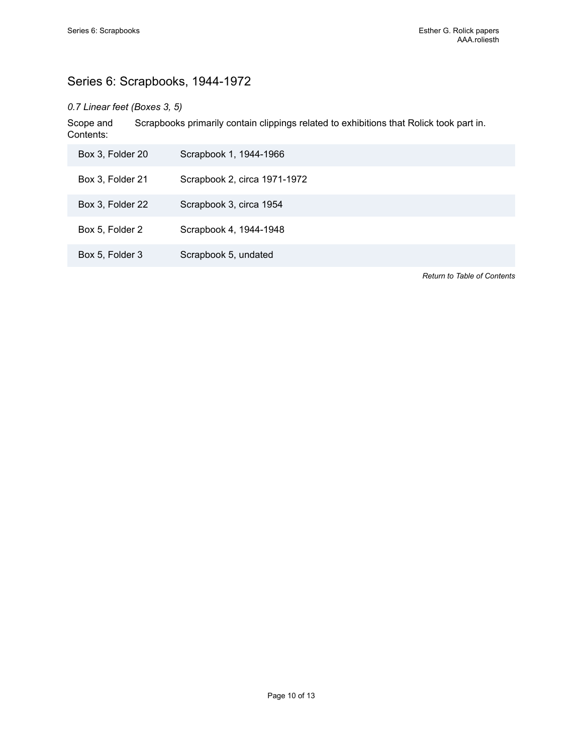# <span id="page-11-0"></span>Series 6: Scrapbooks, 1944-1972

### *0.7 Linear feet (Boxes 3, 5)*

Scope and Contents: Scrapbooks primarily contain clippings related to exhibitions that Rolick took part in.

| Box 3, Folder 20 | Scrapbook 1, 1944-1966       |
|------------------|------------------------------|
| Box 3, Folder 21 | Scrapbook 2, circa 1971-1972 |
| Box 3, Folder 22 | Scrapbook 3, circa 1954      |
| Box 5, Folder 2  | Scrapbook 4, 1944-1948       |
| Box 5, Folder 3  | Scrapbook 5, undated         |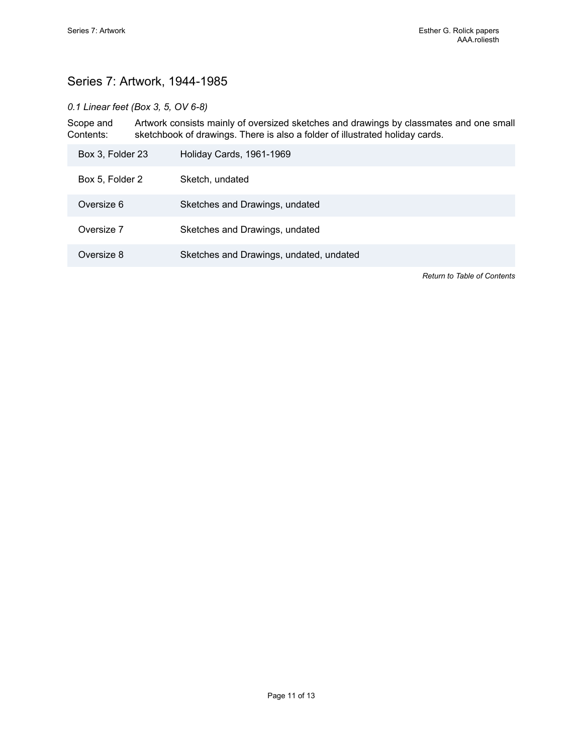# <span id="page-12-0"></span>Series 7: Artwork, 1944-1985

### *0.1 Linear feet (Box 3, 5, OV 6-8)*

Scope and Contents: Artwork consists mainly of oversized sketches and drawings by classmates and one small sketchbook of drawings. There is also a folder of illustrated holiday cards.

| Box 3, Folder 23 | Holiday Cards, 1961-1969                |
|------------------|-----------------------------------------|
| Box 5, Folder 2  | Sketch, undated                         |
| Oversize 6       | Sketches and Drawings, undated          |
| Oversize 7       | Sketches and Drawings, undated          |
| Oversize 8       | Sketches and Drawings, undated, undated |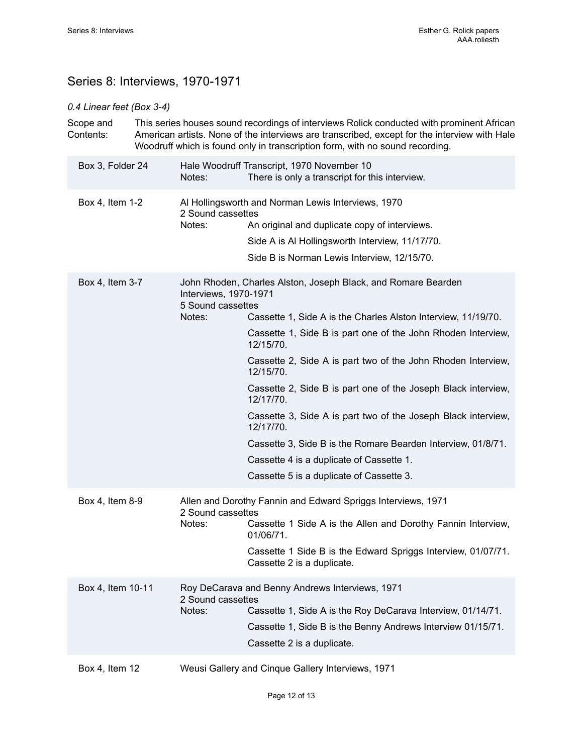# <span id="page-13-0"></span>Series 8: Interviews, 1970-1971

### *0.4 Linear feet (Box 3-4)*

|  | Scope and<br>Contents: |                                                      | This series houses sound recordings of interviews Rolick conducted with prominent African<br>American artists. None of the interviews are transcribed, except for the interview with Hale<br>Woodruff which is found only in transcription form, with no sound recording.                                                                                                                                                                                                                                                                                                                                    |
|--|------------------------|------------------------------------------------------|--------------------------------------------------------------------------------------------------------------------------------------------------------------------------------------------------------------------------------------------------------------------------------------------------------------------------------------------------------------------------------------------------------------------------------------------------------------------------------------------------------------------------------------------------------------------------------------------------------------|
|  | Box 3, Folder 24       | Notes:                                               | Hale Woodruff Transcript, 1970 November 10<br>There is only a transcript for this interview.                                                                                                                                                                                                                                                                                                                                                                                                                                                                                                                 |
|  | Box 4, Item 1-2        | 2 Sound cassettes<br>Notes:                          | Al Hollingsworth and Norman Lewis Interviews, 1970<br>An original and duplicate copy of interviews.<br>Side A is Al Hollingsworth Interview, 11/17/70.<br>Side B is Norman Lewis Interview, 12/15/70.                                                                                                                                                                                                                                                                                                                                                                                                        |
|  | Box 4, Item 3-7        | Interviews, 1970-1971<br>5 Sound cassettes<br>Notes: | John Rhoden, Charles Alston, Joseph Black, and Romare Bearden<br>Cassette 1, Side A is the Charles Alston Interview, 11/19/70.<br>Cassette 1, Side B is part one of the John Rhoden Interview,<br>12/15/70.<br>Cassette 2, Side A is part two of the John Rhoden Interview,<br>12/15/70.<br>Cassette 2, Side B is part one of the Joseph Black interview,<br>12/17/70.<br>Cassette 3, Side A is part two of the Joseph Black interview,<br>12/17/70.<br>Cassette 3, Side B is the Romare Bearden Interview, 01/8/71.<br>Cassette 4 is a duplicate of Cassette 1.<br>Cassette 5 is a duplicate of Cassette 3. |
|  | Box 4, Item 8-9        | 2 Sound cassettes<br>Notes:                          | Allen and Dorothy Fannin and Edward Spriggs Interviews, 1971<br>Cassette 1 Side A is the Allen and Dorothy Fannin Interview,<br>01/06/71.<br>Cassette 1 Side B is the Edward Spriggs Interview, 01/07/71.<br>Cassette 2 is a duplicate.                                                                                                                                                                                                                                                                                                                                                                      |
|  | Box 4, Item 10-11      | 2 Sound cassettes<br>Notes:                          | Roy DeCarava and Benny Andrews Interviews, 1971<br>Cassette 1, Side A is the Roy DeCarava Interview, 01/14/71.<br>Cassette 1, Side B is the Benny Andrews Interview 01/15/71.<br>Cassette 2 is a duplicate.                                                                                                                                                                                                                                                                                                                                                                                                  |
|  | Box 4, Item 12         |                                                      | Weusi Gallery and Cinque Gallery Interviews, 1971                                                                                                                                                                                                                                                                                                                                                                                                                                                                                                                                                            |